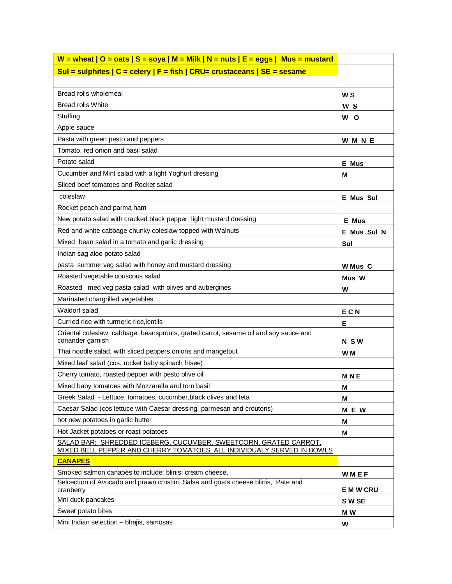| W = wheat   O = oats   S = soya   M = Milk   N = nuts   E = eggs   Mus = mustard                                                           |                  |
|--------------------------------------------------------------------------------------------------------------------------------------------|------------------|
| Sul = sulphites   C = celery   F = fish   CRU= crustaceans   SE = sesame                                                                   |                  |
|                                                                                                                                            |                  |
| Bread rolls wholemeal                                                                                                                      | <b>WS</b>        |
| <b>Bread rolls White</b>                                                                                                                   | W S              |
| Stuffing                                                                                                                                   | W O              |
| Apple sauce                                                                                                                                |                  |
| Pasta with green pesto and peppers                                                                                                         | <b>WMNE</b>      |
| Tomato, red onion and basil salad                                                                                                          |                  |
| Potato salad                                                                                                                               | E Mus            |
| Cucumber and Mint salad with a light Yoghurt dressing                                                                                      | М                |
| Sliced beef tomatoes and Rocket salad                                                                                                      |                  |
| coleslaw                                                                                                                                   | <b>E</b> Mus Sul |
| Rocket peach and parma ham                                                                                                                 |                  |
| New potato salad with cracked black pepper light mustard dressing                                                                          | E Mus            |
| Red and white cabbage chunky coleslaw topped with Walnuts                                                                                  | E Mus Sul N      |
| Mixed bean salad in a tomato and garlic dressing                                                                                           | Sul              |
| Indian sag aloo potato salad                                                                                                               |                  |
| pasta summer veg salad with honey and mustard dressing                                                                                     | W Mus C          |
| Roasted vegetable couscous salad                                                                                                           | Mus W            |
| Roasted med veg pasta salad with olives and aubergines                                                                                     | w                |
| Marinated chargrilled vegetables                                                                                                           |                  |
| Waldorf salad                                                                                                                              | ECN              |
| Curried rice with turmeric rice, lentils                                                                                                   | Е                |
| Oriental coleslaw: cabbage, beansprouts, grated carrot, sesame oil and soy sauce and<br>coriander garnish                                  | <b>NSW</b>       |
| Thai noodle salad, with sliced peppers, onions and mangetout                                                                               | W <sub>M</sub>   |
| Mixed leaf salad (cos, rocket baby spinach frisee)                                                                                         |                  |
| Cherry tomato, roasted pepper with pesto olive oil                                                                                         | <b>MNE</b>       |
| Mixed baby tomatoes with Mozzarella and torn basil                                                                                         | M                |
| Greek Salad - Lettuce, tomatoes, cucumber, black olives and feta                                                                           | М                |
| Caesar Salad (cos lettuce with Caesar dressing, parmesan and croutons)                                                                     | M E W            |
| hot new potatoes in garlic butter                                                                                                          | М                |
| Hot Jacket potatoes or roast potatoes                                                                                                      | M                |
| SALAD BAR: SHREDDED ICEBERG, CUCUMBER, SWEETCORN, GRATED CARROT,<br>MIXED BELL PEPPER AND CHERRY TOMATOES. ALL INDIVIDUALY SERVED IN BOWLS |                  |
| <b>CANAPES</b>                                                                                                                             |                  |
| Smoked salmon canapés to include: blinis: cream cheese,                                                                                    | WMEF             |
| Selcection of Avocado and prawn crostini, Salsa and goats cheese blinis, Pate and<br>cranberry                                             | <b>EMWCRU</b>    |
| Mni duck pancakes                                                                                                                          | S W SE           |
| Sweet potato bites                                                                                                                         | M W              |
| Mini Indian selection - bhajis, samosas                                                                                                    | W                |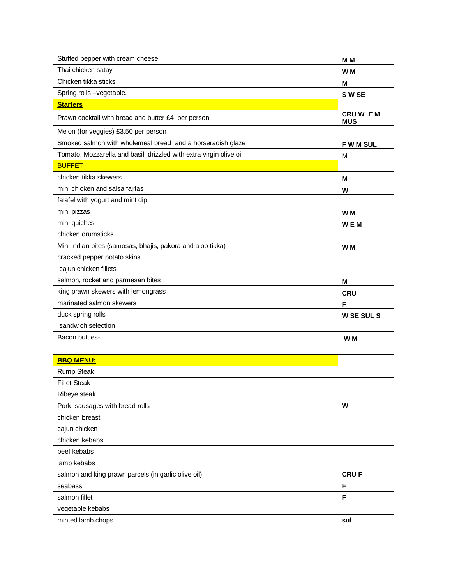| Stuffed pepper with cream cheese                                   | M <sub>M</sub>              |
|--------------------------------------------------------------------|-----------------------------|
| Thai chicken satay                                                 | W <sub>M</sub>              |
| Chicken tikka sticks                                               | М                           |
| Spring rolls -vegetable.                                           | S W SE                      |
| <b>Starters</b>                                                    |                             |
| Prawn cocktail with bread and butter £4 per person                 | <b>CRUWEM</b><br><b>MUS</b> |
| Melon (for veggies) £3.50 per person                               |                             |
| Smoked salmon with wholemeal bread and a horseradish glaze         | <b>FWMSUL</b>               |
| Tomato, Mozzarella and basil, drizzled with extra virgin olive oil | M                           |
| <b>BUFFET</b>                                                      |                             |
| chicken tikka skewers                                              | м                           |
| mini chicken and salsa fajitas                                     | W                           |
| falafel with yogurt and mint dip                                   |                             |
| mini pizzas                                                        | W <sub>M</sub>              |
| mini quiches                                                       | <b>WEM</b>                  |
| chicken drumsticks                                                 |                             |
| Mini indian bites (samosas, bhajis, pakora and aloo tikka)         | W <sub>M</sub>              |
| cracked pepper potato skins                                        |                             |
| cajun chicken fillets                                              |                             |
| salmon, rocket and parmesan bites                                  | М                           |
| king prawn skewers with lemongrass                                 | <b>CRU</b>                  |
| marinated salmon skewers                                           | F                           |
| duck spring rolls                                                  | <b>W SE SUL S</b>           |
| sandwich selection                                                 |                             |
| Bacon butties-                                                     | W <sub>M</sub>              |

| <b>BBQ MENU:</b>                                    |             |
|-----------------------------------------------------|-------------|
| <b>Rump Steak</b>                                   |             |
| <b>Fillet Steak</b>                                 |             |
| Ribeye steak                                        |             |
| Pork sausages with bread rolls                      | W           |
| chicken breast                                      |             |
| cajun chicken                                       |             |
| chicken kebabs                                      |             |
| beef kebabs                                         |             |
| lamb kebabs                                         |             |
| salmon and king prawn parcels (in garlic olive oil) | <b>CRUF</b> |
| seabass                                             | F           |
| salmon fillet                                       | F           |
| vegetable kebabs                                    |             |
| minted lamb chops                                   | sul         |